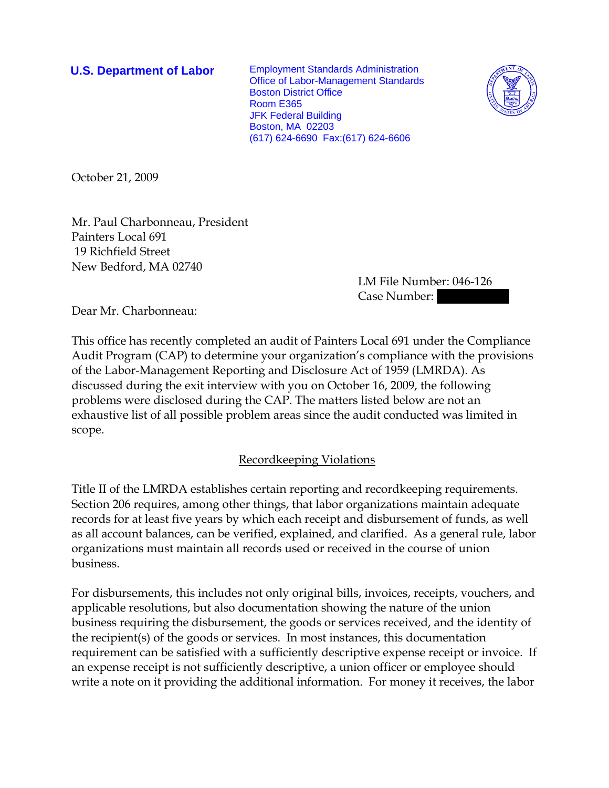**U.S. Department of Labor** Employment Standards Administration Office of Labor-Management Standards Boston District Office Room E365 JFK Federal Building Boston, MA 02203 (617) 624-6690 Fax:(617) 624-6606



October 21, 2009

Mr. Paul Charbonneau, President Painters Local 691 19 Richfield Street New Bedford, MA 02740

LM File Number: 046-126 Case Number:

Dear Mr. Charbonneau:

This office has recently completed an audit of Painters Local 691 under the Compliance Audit Program (CAP) to determine your organization's compliance with the provisions of the Labor-Management Reporting and Disclosure Act of 1959 (LMRDA). As discussed during the exit interview with you on October 16, 2009, the following problems were disclosed during the CAP. The matters listed below are not an exhaustive list of all possible problem areas since the audit conducted was limited in scope.

# Recordkeeping Violations

Title II of the LMRDA establishes certain reporting and recordkeeping requirements. Section 206 requires, among other things, that labor organizations maintain adequate records for at least five years by which each receipt and disbursement of funds, as well as all account balances, can be verified, explained, and clarified. As a general rule, labor organizations must maintain all records used or received in the course of union business.

For disbursements, this includes not only original bills, invoices, receipts, vouchers, and applicable resolutions, but also documentation showing the nature of the union business requiring the disbursement, the goods or services received, and the identity of the recipient(s) of the goods or services. In most instances, this documentation requirement can be satisfied with a sufficiently descriptive expense receipt or invoice. If an expense receipt is not sufficiently descriptive, a union officer or employee should write a note on it providing the additional information. For money it receives, the labor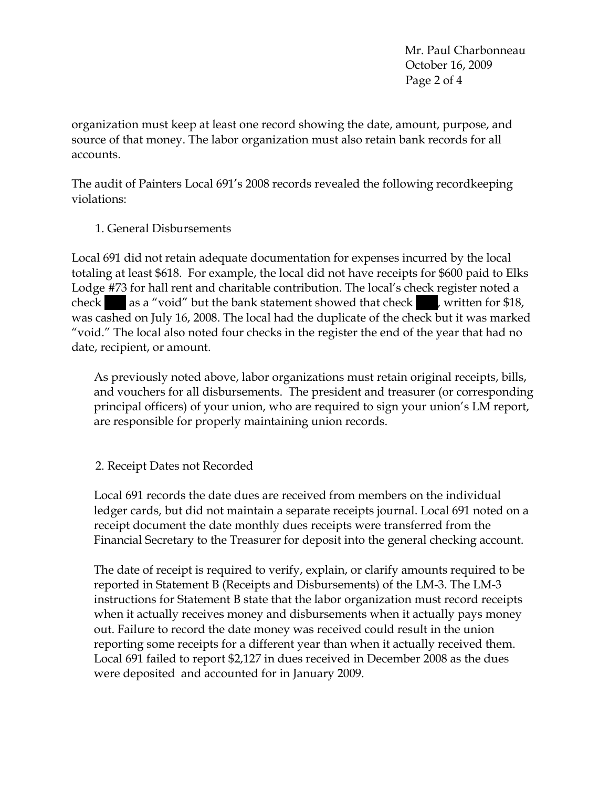Mr. Paul Charbonneau October 16, 2009 Page 2 of 4

organization must keep at least one record showing the date, amount, purpose, and source of that money. The labor organization must also retain bank records for all accounts.

The audit of Painters Local 691's 2008 records revealed the following recordkeeping violations:

1. General Disbursements

Local 691 did not retain adequate documentation for expenses incurred by the local totaling at least \$618. For example, the local did not have receipts for \$600 paid to Elks Lodge #73 for hall rent and charitable contribution. The local's check register noted a check ||| as a "void" but the bank statement showed that check |||, written for \$18, was cashed on July 16, 2008. The local had the duplicate of the check but it was marked "void." The local also noted four checks in the register the end of the year that had no date, recipient, or amount.

As previously noted above, labor organizations must retain original receipts, bills, and vouchers for all disbursements. The president and treasurer (or corresponding principal officers) of your union, who are required to sign your union's LM report, are responsible for properly maintaining union records.

# 2. Receipt Dates not Recorded

Local 691 records the date dues are received from members on the individual ledger cards, but did not maintain a separate receipts journal. Local 691 noted on a receipt document the date monthly dues receipts were transferred from the Financial Secretary to the Treasurer for deposit into the general checking account.

The date of receipt is required to verify, explain, or clarify amounts required to be reported in Statement B (Receipts and Disbursements) of the LM-3. The LM-3 instructions for Statement B state that the labor organization must record receipts when it actually receives money and disbursements when it actually pays money out. Failure to record the date money was received could result in the union reporting some receipts for a different year than when it actually received them. Local 691 failed to report \$2,127 in dues received in December 2008 as the dues were deposited and accounted for in January 2009.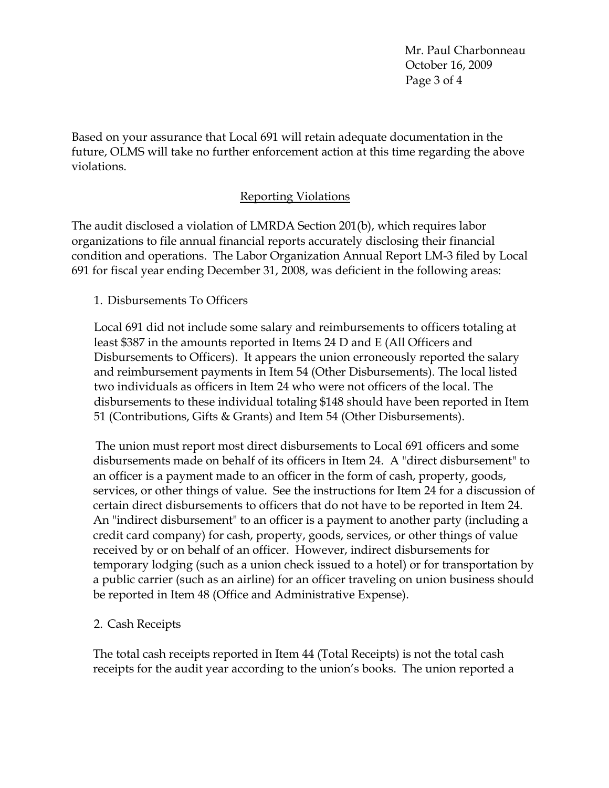Mr. Paul Charbonneau October 16, 2009 Page 3 of 4

Based on your assurance that Local 691 will retain adequate documentation in the future, OLMS will take no further enforcement action at this time regarding the above violations.

# Reporting Violations

The audit disclosed a violation of LMRDA Section 201(b), which requires labor organizations to file annual financial reports accurately disclosing their financial condition and operations. The Labor Organization Annual Report LM-3 filed by Local 691 for fiscal year ending December 31, 2008, was deficient in the following areas:

### 1. Disbursements To Officers

Local 691 did not include some salary and reimbursements to officers totaling at least \$387 in the amounts reported in Items 24 D and E (All Officers and Disbursements to Officers). It appears the union erroneously reported the salary and reimbursement payments in Item 54 (Other Disbursements). The local listed two individuals as officers in Item 24 who were not officers of the local. The disbursements to these individual totaling \$148 should have been reported in Item 51 (Contributions, Gifts & Grants) and Item 54 (Other Disbursements).

The union must report most direct disbursements to Local 691 officers and some disbursements made on behalf of its officers in Item 24. A "direct disbursement" to an officer is a payment made to an officer in the form of cash, property, goods, services, or other things of value. See the instructions for Item 24 for a discussion of certain direct disbursements to officers that do not have to be reported in Item 24. An "indirect disbursement" to an officer is a payment to another party (including a credit card company) for cash, property, goods, services, or other things of value received by or on behalf of an officer. However, indirect disbursements for temporary lodging (such as a union check issued to a hotel) or for transportation by a public carrier (such as an airline) for an officer traveling on union business should be reported in Item 48 (Office and Administrative Expense).

# 2. Cash Receipts

The total cash receipts reported in Item 44 (Total Receipts) is not the total cash receipts for the audit year according to the union's books. The union reported a